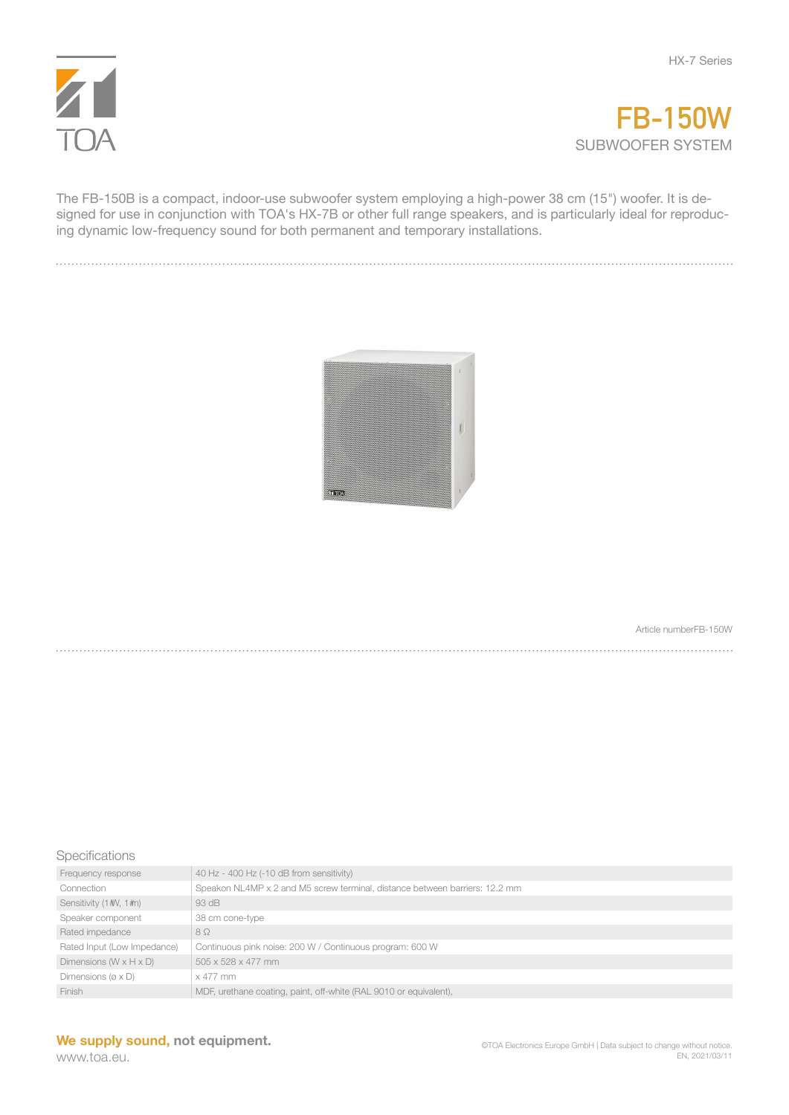



The FB-150B is a compact, indoor-use subwoofer system employing a high-power 38 cm (15") woofer. It is designed for use in conjunction with TOA's HX-7B or other full range speakers, and is particularly ideal for reproducing dynamic low-frequency sound for both permanent and temporary installations.



Article numberFB-150W

**Specifications** 

| Frequency response                    | 40 Hz - 400 Hz (-10 dB from sensitivity)                                    |
|---------------------------------------|-----------------------------------------------------------------------------|
| Connection                            | Speakon NL4MP x 2 and M5 screw terminal, distance between barriers: 12.2 mm |
| Sensitivity (1#V, 1#n)                | 93 dB                                                                       |
| Speaker component                     | 38 cm cone-type                                                             |
| Rated impedance                       | $8\Omega$                                                                   |
| Rated Input (Low Impedance)           | Continuous pink noise: 200 W / Continuous program: 600 W                    |
| Dimensions ( $W \times H \times D$ )  | 505 x 528 x 477 mm                                                          |
| Dimensions ( $\varnothing \times D$ ) | x 477 mm                                                                    |
| <b>Finish</b>                         | MDF, urethane coating, paint, off-white (RAL 9010 or equivalent),           |